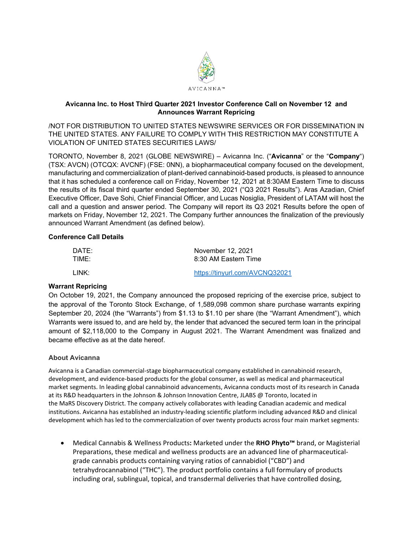

## **Avicanna Inc. to Host Third Quarter 2021 Investor Conference Call on November 12 and Announces Warrant Repricing**

/NOT FOR DISTRIBUTION TO UNITED STATES NEWSWIRE SERVICES OR FOR DISSEMINATION IN THE UNITED STATES. ANY FAILURE TO COMPLY WITH THIS RESTRICTION MAY CONSTITUTE A VIOLATION OF UNITED STATES SECURITIES LAWS/

TORONTO, November 8, 2021 (GLOBE NEWSWIRE) – Avicanna Inc. ("**Avicanna**" or the "**Company**") (TSX: AVCN) (OTCQX: AVCNF) (FSE: 0NN), a biopharmaceutical company focused on the development, manufacturing and commercialization of plant-derived cannabinoid-based products, is pleased to announce that it has scheduled a conference call on Friday, November 12, 2021 at 8:30AM Eastern Time to discuss the results of its fiscal third quarter ended September 30, 2021 ("Q3 2021 Results"). Aras Azadian, Chief Executive Officer, Dave Sohi, Chief Financial Officer, and Lucas Nosiglia, President of LATAM will host the call and a question and answer period. The Company will report its Q3 2021 Results before the open of markets on Friday, November 12, 2021. The Company further announces the finalization of the previously announced Warrant Amendment (as defined below).

## **Conference Call Details**

| DATE: | November 12, 2021              |
|-------|--------------------------------|
| TIME: | 8:30 AM Eastern Time           |
| LINK: | https://tinyurl.com/AVCNQ32021 |

# **Warrant Repricing**

On October 19, 2021, the Company announced the proposed repricing of the exercise price, subject to the approval of the Toronto Stock Exchange, of 1,589,098 common share purchase warrants expiring September 20, 2024 (the "Warrants") from \$1.13 to \$1.10 per share (the "Warrant Amendment"), which Warrants were issued to, and are held by, the lender that advanced the secured term loan in the principal amount of \$2,118,000 to the Company in August 2021. The Warrant Amendment was finalized and became effective as at the date hereof.

# **About Avicanna**

Avicanna is a Canadian commercial-stage biopharmaceutical company established in cannabinoid research, development, and evidence-based products for the global consumer, as well as medical and pharmaceutical market segments. In leading global cannabinoid advancements, Avicanna conducts most of its research in Canada at its R&D headquarters in the Johnson & Johnson Innovation Centre, JLABS @ Toronto, located in the MaRS Discovery District. The company actively collaborates with leading Canadian academic and medical institutions. Avicanna has established an industry-leading scientific platform including advanced R&D and clinical development which has led to the commercialization of over twenty products across four main market segments:

• Medical Cannabis & Wellness Products**:** Marketed under the **RHO Phyto™** brand, or Magisterial Preparations, these medical and wellness products are an advanced line of pharmaceuticalgrade cannabis products containing varying ratios of cannabidiol ("CBD") and tetrahydrocannabinol ("THC"). The product portfolio contains a full formulary of products including oral, sublingual, topical, and transdermal deliveries that have controlled dosing,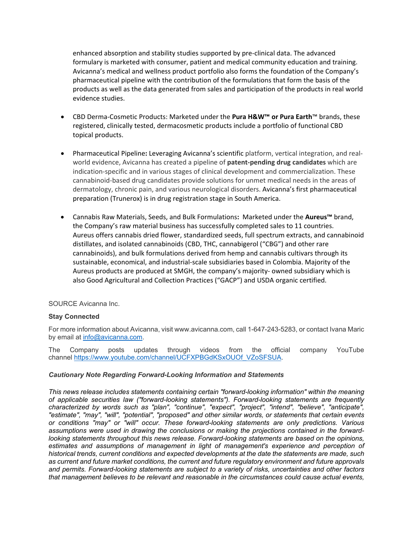enhanced absorption and stability studies supported by pre-clinical data. The advanced formulary is marketed with consumer, patient and medical community education and training. Avicanna's medical and wellness product portfolio also forms the foundation of the Company's pharmaceutical pipeline with the contribution of the formulations that form the basis of the products as well as the data generated from sales and participation of the products in real world evidence studies.

- CBD Derma-Cosmetic Products: Marketed under the **Pura H&W™ or Pura Earth**™ brands, these registered, clinically tested, dermacosmetic products include a portfolio of functional CBD topical products.
- Pharmaceutical Pipeline**:** Leveraging Avicanna's scientific platform, vertical integration, and realworld evidence, Avicanna has created a pipeline of **patent-pending drug candidates** which are indication-specific and in various stages of clinical development and commercialization. These cannabinoid-based drug candidates provide solutions for unmet medical needs in the areas of dermatology, chronic pain, and various neurological disorders. Avicanna's first pharmaceutical preparation (Trunerox) is in drug registration stage in South America.
- Cannabis Raw Materials, Seeds, and Bulk Formulations**:** Marketed under the **Aureus™** brand, the Company's raw material business has successfully completed sales to 11 countries. Aureus offers cannabis dried flower, standardized seeds, full spectrum extracts, and cannabinoid distillates, and isolated cannabinoids (CBD, THC, cannabigerol ("CBG") and other rare cannabinoids), and bulk formulations derived from hemp and cannabis cultivars through its sustainable, economical, and industrial-scale subsidiaries based in Colombia. Majority of the Aureus products are produced at SMGH, the company's majority- owned subsidiary which is also Good Agricultural and Collection Practices ("GACP") and USDA organic certified.

# SOURCE Avicanna Inc.

### **Stay Connected**

For more information about Avicanna, visit www.avicanna.com, call 1-647-243-5283, or contact Ivana Maric by email at [info@avicanna.com.](mailto:info@avicanna.com)

The Company posts updates through videos from the official company YouTube channel [https://www.youtube.com/channel/UCFXPBGdKSxOUOf\\_VZoSFSUA.](https://www.youtube.com/channel/UCFXPBGdKSxOUOf_VZoSFSUA)

### *Cautionary Note Regarding Forward-Looking Information and Statements*

*This news release includes statements containing certain "forward-looking information" within the meaning of applicable securities law ("forward-looking statements"). Forward-looking statements are frequently characterized by words such as "plan", "continue", "expect", "project", "intend", "believe", "anticipate", "estimate", "may", "will", "potential", "proposed" and other similar words, or statements that certain events or conditions "may" or "will" occur. These forward-looking statements are only predictions. Various assumptions were used in drawing the conclusions or making the projections contained in the forwardlooking statements throughout this news release. Forward-looking statements are based on the opinions, estimates and assumptions of management in light of management's experience and perception of historical trends, current conditions and expected developments at the date the statements are made, such as current and future market conditions, the current and future regulatory environment and future approvals and permits. Forward-looking statements are subject to a variety of risks, uncertainties and other factors that management believes to be relevant and reasonable in the circumstances could cause actual events,*